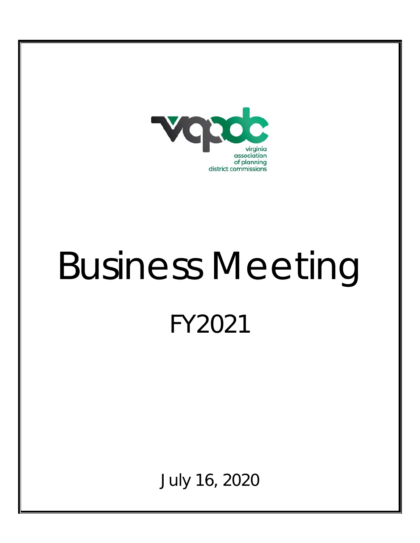

# Business Meeting FY2021

July 16, 2020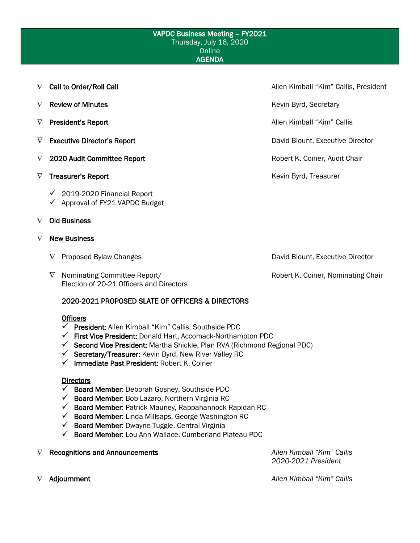#### VAPDC Business Meeting – FY2021 Thursday, July 16, 2020 **Online** AGENDA

- ∇ Call to Order/Roll Call Allen Kimball "Kim" Callis, President
- ∇ Review of Minutes Kevin Byrd, Secretary
- ∇ President's Report Allen Kimball "Kim" Callis
- ∇ Executive Director's Report David Blount, Executive Director
- ∇ 2020 Audit Committee Report Robert K. Coiner, Audit Chair
- ∇ Treasurer's Report Kevin Byrd, Treasurer
	- $\checkmark$  2019-2020 Financial Report
	- $\checkmark$  Approval of FY21 VAPDC Budget

# ∇ Old Business

#### ∇ New Business

- 
- ∇ Nominating Committee Report/ Robert K. Coiner, Nominating Chair Election of 20-21 Officers and Directors

## 2020-2021 PROPOSED SLATE OF OFFICERS & DIRECTORS

#### **Officers**

- $\checkmark$  President: Allen Kimball "Kim" Callis, Southside PDC
- $\checkmark$  First Vice President: Donald Hart, Accomack-Northampton PDC
- $\checkmark$  Second Vice President: Martha Shickle, Plan RVA (Richmond Regional PDC)
- $\checkmark$  Secretary/Treasurer: Kevin Byrd, New River Valley RC
- $\checkmark$  Immediate Past President: Robert K. Coiner

#### **Directors**

- $\checkmark$  Board Member: Deborah Gosney, Southside PDC
- $\checkmark$  Board Member: Bob Lazaro, Northern Virginia RC
- $\checkmark$  Board Member: Patrick Mauney, Rappahannock Rapidan RC
- $\checkmark$  Board Member: Linda Millsaps, George Washington RC
- $\checkmark$  Board Member: Dwayne Tuggle, Central Virginia
- $\checkmark$  Board Member: Lou Ann Wallace, Cumberland Plateau PDC
- ∇ Recognitions and Announcements *Allen Kimball "Kim" Callis*

*2020-2021 President*

∇ Adjournment *Allen Kimball "Kim" Callis*

∇ Proposed Bylaw Changes David Blount, Executive Director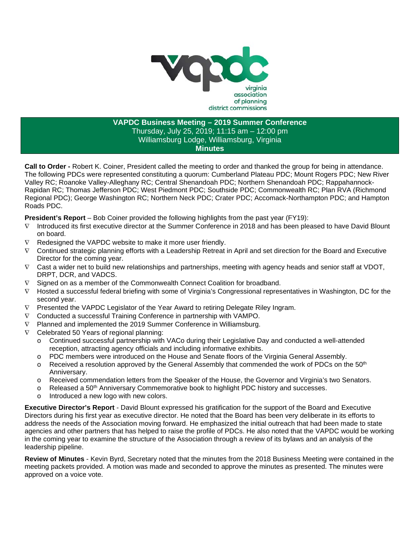

# **VAPDC Business Meeting – 2019 Summer Conference** Thursday, July 25, 2019; 11:15 am – 12:00 pm Williamsburg Lodge, Williamsburg, Virginia **Minutes**

**Call to Order -** Robert K. Coiner, President called the meeting to order and thanked the group for being in attendance. The following PDCs were represented constituting a quorum: Cumberland Plateau PDC; Mount Rogers PDC; New River Valley RC; Roanoke Valley-Alleghany RC; Central Shenandoah PDC; Northern Shenandoah PDC; Rappahannock-Rapidan RC; Thomas Jefferson PDC; West Piedmont PDC; Southside PDC; Commonwealth RC; Plan RVA (Richmond Regional PDC); George Washington RC; Northern Neck PDC; Crater PDC; Accomack-Northampton PDC; and Hampton Roads PDC.

**President's Report** – Bob Coiner provided the following highlights from the past year (FY19):

- ∇ Introduced its first executive director at the Summer Conference in 2018 and has been pleased to have David Blount on board.
- ∇ Redesigned the VAPDC website to make it more user friendly.
- ∇ Continued strategic planning efforts with a Leadership Retreat in April and set direction for the Board and Executive Director for the coming year.
- ∇ Cast a wider net to build new relationships and partnerships, meeting with agency heads and senior staff at VDOT, DRPT, DCR, and VADCS.
- ∇ Signed on as a member of the Commonwealth Connect Coalition for broadband.
- ∇ Hosted a successful federal briefing with some of Virginia's Congressional representatives in Washington, DC for the second year.
- ∇ Presented the VAPDC Legislator of the Year Award to retiring Delegate Riley Ingram.
- ∇ Conducted a successful Training Conference in partnership with VAMPO.
- ∇ Planned and implemented the 2019 Summer Conference in Williamsburg.
- ∇ Celebrated 50 Years of regional planning:
	- o Continued successful partnership with VACo during their Legislative Day and conducted a well-attended reception, attracting agency officials and including informative exhibits.
	- o PDC members were introduced on the House and Senate floors of the Virginia General Assembly.
	- $\circ$  Received a resolution approved by the General Assembly that commended the work of PDCs on the 50<sup>th</sup> Anniversary.
	- o Received commendation letters from the Speaker of the House, the Governor and Virginia's two Senators.
	- o Released a 50<sup>th</sup> Anniversary Commemorative book to highlight PDC history and successes.<br>
	o Introduced a new logo with new colors
	- Introduced a new logo with new colors.

**Executive Director's Report** - David Blount expressed his gratification for the support of the Board and Executive Directors during his first year as executive director. He noted that the Board has been very deliberate in its efforts to address the needs of the Association moving forward. He emphasized the initial outreach that had been made to state agencies and other partners that has helped to raise the profile of PDCs. He also noted that the VAPDC would be working in the coming year to examine the structure of the Association through a review of its bylaws and an analysis of the leadership pipeline.

**Review of Minutes** - Kevin Byrd, Secretary noted that the minutes from the 2018 Business Meeting were contained in the meeting packets provided. A motion was made and seconded to approve the minutes as presented. The minutes were approved on a voice vote.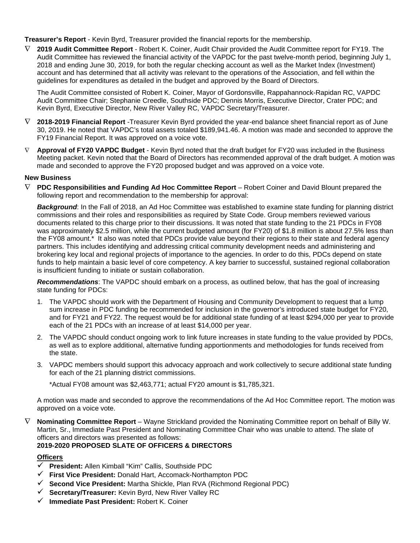**Treasurer's Report** - Kevin Byrd, Treasurer provided the financial reports for the membership.

∇ **2019 Audit Committee Report** - Robert K. Coiner, Audit Chair provided the Audit Committee report for FY19. The Audit Committee has reviewed the financial activity of the VAPDC for the past twelve-month period, beginning July 1, 2018 and ending June 30, 2019, for both the regular checking account as well as the Market Index (Investment) account and has determined that all activity was relevant to the operations of the Association, and fell within the guidelines for expenditures as detailed in the budget and approved by the Board of Directors.

The Audit Committee consisted of Robert K. Coiner, Mayor of Gordonsville, Rappahannock-Rapidan RC, VAPDC Audit Committee Chair; Stephanie Creedle, Southside PDC; Dennis Morris, Executive Director, Crater PDC; and Kevin Byrd, Executive Director, New River Valley RC, VAPDC Secretary/Treasurer.

- ∇ **2018-2019 Financial Report** -Treasurer Kevin Byrd provided the year-end balance sheet financial report as of June 30, 2019. He noted that VAPDC's total assets totaled \$189,941.46. A motion was made and seconded to approve the FY19 Financial Report. It was approved on a voice vote.
- Approval of FY20 VAPDC Budget Kevin Byrd noted that the draft budget for FY20 was included in the Business Meeting packet. Kevin noted that the Board of Directors has recommended approval of the draft budget. A motion was made and seconded to approve the FY20 proposed budget and was approved on a voice vote.

#### **New Business**

∇ **PDC Responsibilities and Funding Ad Hoc Committee Report** – Robert Coiner and David Blount prepared the following report and recommendation to the membership for approval:

*Background*: In the Fall of 2018, an Ad Hoc Committee was established to examine state funding for planning district commissions and their roles and responsibilities as required by State Code. Group members reviewed various documents related to this charge prior to their discussions. It was noted that state funding to the 21 PDCs in FY08 was approximately \$2.5 million, while the current budgeted amount (for FY20) of \$1.8 million is about 27.5% less than the FY08 amount.\* It also was noted that PDCs provide value beyond their regions to their state and federal agency partners. This includes identifying and addressing critical community development needs and administering and brokering key local and regional projects of importance to the agencies. In order to do this, PDCs depend on state funds to help maintain a basic level of core competency. A key barrier to successful, sustained regional collaboration is insufficient funding to initiate or sustain collaboration.

*Recommendations*: The VAPDC should embark on a process, as outlined below, that has the goal of increasing state funding for PDCs:

- 1. The VAPDC should work with the Department of Housing and Community Development to request that a lump sum increase in PDC funding be recommended for inclusion in the governor's introduced state budget for FY20, and for FY21 and FY22. The request would be for additional state funding of at least \$294,000 per year to provide each of the 21 PDCs with an increase of at least \$14,000 per year.
- 2. The VAPDC should conduct ongoing work to link future increases in state funding to the value provided by PDCs, as well as to explore additional, alternative funding apportionments and methodologies for funds received from the state.
- 3. VAPDC members should support this advocacy approach and work collectively to secure additional state funding for each of the 21 planning district commissions.

\*Actual FY08 amount was \$2,463,771; actual FY20 amount is \$1,785,321.

A motion was made and seconded to approve the recommendations of the Ad Hoc Committee report. The motion was approved on a voice vote.

∇ **Nominating Committee Report** – Wayne Strickland provided the Nominating Committee report on behalf of Billy W. Martin, Sr., Immediate Past President and Nominating Committee Chair who was unable to attend. The slate of officers and directors was presented as follows:

# **2019-2020 PROPOSED SLATE OF OFFICERS & DIRECTORS**

#### **Officers**

- **President:** Allen Kimball "Kim" Callis, Southside PDC
- **First Vice President:** Donald Hart, Accomack-Northampton PDC
- **Second Vice President:** Martha Shickle, Plan RVA (Richmond Regional PDC)
- **Secretary/Treasurer:** Kevin Byrd, New River Valley RC
- **Immediate Past President:** Robert K. Coiner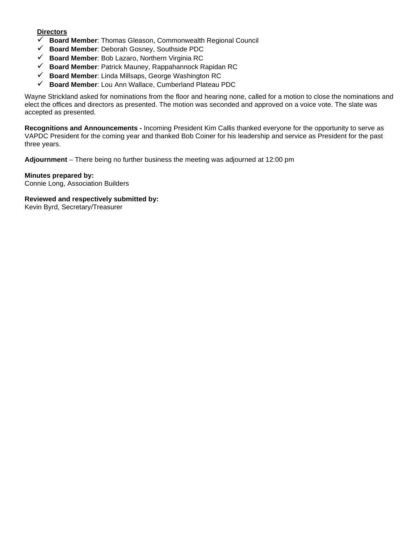## **Directors**

- **Board Member**: Thomas Gleason, Commonwealth Regional Council
- **Board Member**: Deborah Gosney, Southside PDC
- **Board Member**: Bob Lazaro, Northern Virginia RC
- **Board Member**: Patrick Mauney, Rappahannock Rapidan RC
- **Board Member**: Linda Millsaps, George Washington RC
- **Board Member**: Lou Ann Wallace, Cumberland Plateau PDC

Wayne Strickland asked for nominations from the floor and hearing none, called for a motion to close the nominations and elect the offices and directors as presented. The motion was seconded and approved on a voice vote. The slate was accepted as presented.

**Recognitions and Announcements -** Incoming President Kim Callis thanked everyone for the opportunity to serve as VAPDC President for the coming year and thanked Bob Coiner for his leadership and service as President for the past three years.

**Adjournment** – There being no further business the meeting was adjourned at 12:00 pm

**Minutes prepared by:** Connie Long, Association Builders

**Reviewed and respectively submitted by:** Kevin Byrd, Secretary/Treasurer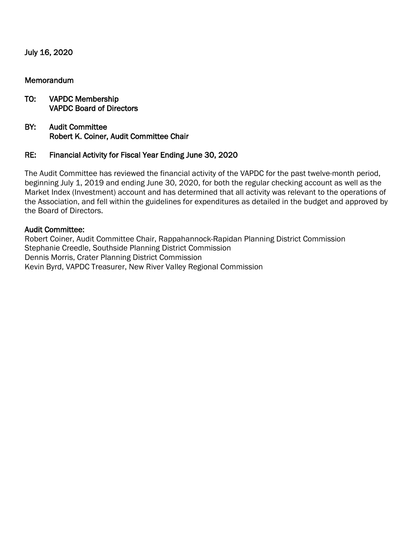July 16, 2020

# Memorandum

# TO: VAPDC Membership VAPDC Board of Directors

BY: Audit Committee Robert K. Coiner, Audit Committee Chair

# RE: Financial Activity for Fiscal Year Ending June 30, 2020

The Audit Committee has reviewed the financial activity of the VAPDC for the past twelve-month period, beginning July 1, 2019 and ending June 30, 2020, for both the regular checking account as well as the Market Index (Investment) account and has determined that all activity was relevant to the operations of the Association, and fell within the guidelines for expenditures as detailed in the budget and approved by the Board of Directors.

# Audit Committee:

Robert Coiner, Audit Committee Chair, Rappahannock-Rapidan Planning District Commission Stephanie Creedle, Southside Planning District Commission Dennis Morris, Crater Planning District Commission Kevin Byrd, VAPDC Treasurer, New River Valley Regional Commission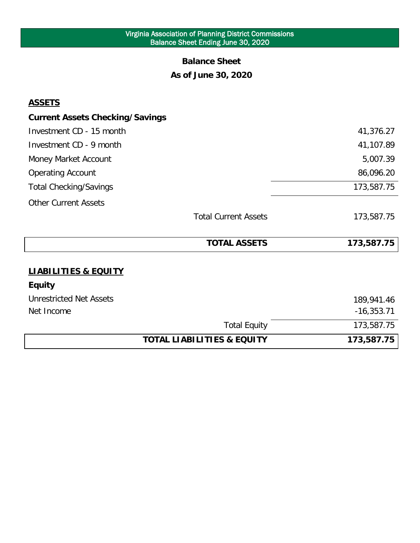### Virginia Association of Planning District Commissions Balance Sheet Ending June 30, 2020

# **Balance Sheet As of June 30, 2020**

# **ASSETS**

|                                        | <b>Total Equity</b><br><b>TOTAL LIABILITIES &amp; EQUITY</b> | 173,587.75<br>173,587.75 |
|----------------------------------------|--------------------------------------------------------------|--------------------------|
| Net Income                             |                                                              | $-16,353.71$             |
| <b>Unrestricted Net Assets</b>         |                                                              | 189,941.46               |
| <b>Equity</b>                          |                                                              |                          |
| <b>LIABILITIES &amp; EQUITY</b>        |                                                              |                          |
|                                        | <b>TOTAL ASSETS</b>                                          | 173,587.75               |
|                                        | <b>Total Current Assets</b>                                  | 173,587.75               |
| <b>Other Current Assets</b>            |                                                              |                          |
| <b>Total Checking/Savings</b>          |                                                              | 173,587.75               |
| <b>Operating Account</b>               |                                                              | 86,096.20                |
| Money Market Account                   |                                                              | 5,007.39                 |
| Investment CD - 9 month                |                                                              | 41,107.89                |
| Investment CD - 15 month               |                                                              | 41,376.27                |
| <b>Current Assets Checking/Savings</b> |                                                              |                          |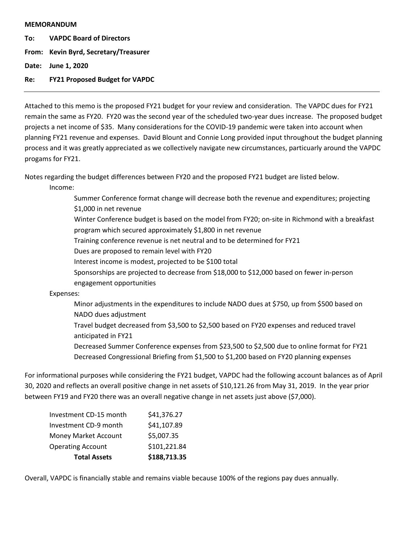#### **MEMORANDUM**

**To: VAPDC Board of Directors**

**From: Kevin Byrd, Secretary/Treasurer**

**Date: June 1, 2020**

**Re: FY21 Proposed Budget for VAPDC**

Attached to this memo is the proposed FY21 budget for your review and consideration. The VAPDC dues for FY21 remain the same as FY20. FY20 was the second year of the scheduled two-year dues increase. The proposed budget projects a net income of \$35. Many considerations for the COVID-19 pandemic were taken into account when planning FY21 revenue and expenses. David Blount and Connie Long provided input throughout the budget planning process and it was greatly appreciated as we collectively navigate new circumstances, particuarly around the VAPDC progams for FY21.

Notes regarding the budget differences between FY20 and the proposed FY21 budget are listed below.

Income:

Summer Conference format change will decrease both the revenue and expenditures; projecting \$1,000 in net revenue Winter Conference budget is based on the model from FY20; on-site in Richmond with a breakfast program which secured approximately \$1,800 in net revenue Training conference revenue is net neutral and to be determined for FY21 Dues are proposed to remain level with FY20 Interest income is modest, projected to be \$100 total Sponsorships are projected to decrease from \$18,000 to \$12,000 based on fewer in-person engagement opportunities Expenses: Minor adjustments in the expenditures to include NADO dues at \$750, up from \$500 based on NADO dues adjustment Travel budget decreased from \$3,500 to \$2,500 based on FY20 expenses and reduced travel anticipated in FY21

Decreased Summer Conference expenses from \$23,500 to \$2,500 due to online format for FY21 Decreased Congressional Briefing from \$1,500 to \$1,200 based on FY20 planning expenses

For informational purposes while considering the FY21 budget, VAPDC had the following account balances as of April 30, 2020 and reflects an overall positive change in net assets of \$10,121.26 from May 31, 2019. In the year prior between FY19 and FY20 there was an overall negative change in net assets just above (\$7,000).

| <b>Total Assets</b>      | \$188,713.35 |
|--------------------------|--------------|
| <b>Operating Account</b> | \$101,221.84 |
| Money Market Account     | \$5,007.35   |
| Investment CD-9 month    | \$41,107.89  |
| Investment CD-15 month   | \$41,376.27  |

Overall, VAPDC is financially stable and remains viable because 100% of the regions pay dues annually.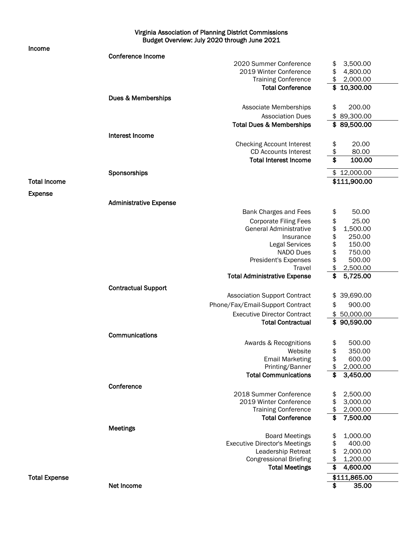Virginia Association of Planning District Commissions Budget Overview: July 2020 through June 2021

Income

|                      | <b>Conference Income</b>      |                                      |                 |
|----------------------|-------------------------------|--------------------------------------|-----------------|
|                      |                               | 2020 Summer Conference               | 3,500.00<br>\$  |
|                      |                               | 2019 Winter Conference               | \$<br>4,800.00  |
|                      |                               | <b>Training Conference</b>           | \$<br>2,000.00  |
|                      |                               | <b>Total Conference</b>              | \$<br>10,300.00 |
|                      | Dues & Memberships            |                                      |                 |
|                      |                               | Associate Memberships                | \$<br>200.00    |
|                      |                               |                                      |                 |
|                      |                               | <b>Association Dues</b>              | \$<br>89,300.00 |
|                      |                               | <b>Total Dues &amp; Memberships</b>  | \$89,500.00     |
|                      | Interest Income               |                                      |                 |
|                      |                               | <b>Checking Account Interest</b>     | 20.00<br>\$     |
|                      |                               | <b>CD Accounts Interest</b>          | \$<br>80.00     |
|                      |                               | <b>Total Interest Income</b>         | \$<br>100.00    |
|                      | Sponsorships                  |                                      | \$12,000.00     |
| <b>Total Income</b>  |                               |                                      | \$111,900.00    |
|                      |                               |                                      |                 |
| <b>Expense</b>       |                               |                                      |                 |
|                      | <b>Administrative Expense</b> |                                      |                 |
|                      |                               | <b>Bank Charges and Fees</b>         | 50.00<br>\$     |
|                      |                               | <b>Corporate Filing Fees</b>         | \$<br>25.00     |
|                      |                               | <b>General Administrative</b>        | \$<br>1,500.00  |
|                      |                               | Insurance                            | \$<br>250.00    |
|                      |                               | <b>Legal Services</b>                | \$<br>150.00    |
|                      |                               | NADO Dues                            | \$<br>750.00    |
|                      |                               | President's Expenses                 | \$<br>500.00    |
|                      |                               | Travel                               | \$<br>2,500.00  |
|                      |                               | <b>Total Administrative Expense</b>  | \$<br>5,725.00  |
|                      |                               |                                      |                 |
|                      | <b>Contractual Support</b>    |                                      |                 |
|                      |                               | <b>Association Support Contract</b>  | 39,690.00<br>\$ |
|                      |                               | Phone/Fax/Email-Support Contract     | \$<br>900.00    |
|                      |                               | <b>Executive Director Contract</b>   | 50,000.00<br>\$ |
|                      |                               | <b>Total Contractual</b>             | \$90,590.00     |
|                      | Communications                |                                      |                 |
|                      |                               | Awards & Recognitions                | 500.00<br>\$    |
|                      |                               | Website                              | \$<br>350.00    |
|                      |                               | <b>Email Marketing</b>               | \$<br>600.00    |
|                      |                               | Printing/Banner                      | 2,000.00<br>\$  |
|                      |                               | <b>Total Communications</b>          | 3,450.00<br>\$  |
|                      |                               |                                      |                 |
|                      | Conference                    |                                      |                 |
|                      |                               | 2018 Summer Conference               | 2,500.00<br>\$  |
|                      |                               | 2019 Winter Conference               | \$<br>3,000.00  |
|                      |                               | <b>Training Conference</b>           | \$<br>2,000.00  |
|                      |                               | <b>Total Conference</b>              | \$<br>7,500.00  |
|                      | Meetings                      |                                      |                 |
|                      |                               | <b>Board Meetings</b>                | 1,000.00<br>\$  |
|                      |                               | <b>Executive Director's Meetings</b> | \$<br>400.00    |
|                      |                               | Leadership Retreat                   | \$<br>2,000.00  |
|                      |                               | <b>Congressional Briefing</b>        | \$<br>1,200.00  |
|                      |                               | <b>Total Meetings</b>                | \$<br>4,600.00  |
| <b>Total Expense</b> |                               |                                      | \$111,865.00    |
|                      | Net Income                    |                                      | \$<br>35.00     |
|                      |                               |                                      |                 |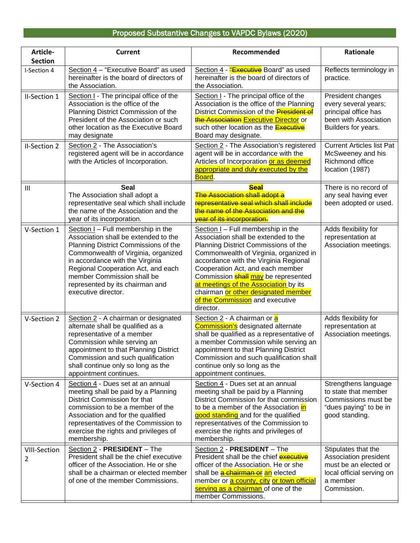# Proposed Substantive Changes to VAPDC Bylaws (2020)

| Article-                 | <b>Current</b>                                                                                                                                                                                                                                                                                                             | Recommended                                                                                                                                                                                                                                                                                                                                                                                                               | Rationale                                                                                                                     |
|--------------------------|----------------------------------------------------------------------------------------------------------------------------------------------------------------------------------------------------------------------------------------------------------------------------------------------------------------------------|---------------------------------------------------------------------------------------------------------------------------------------------------------------------------------------------------------------------------------------------------------------------------------------------------------------------------------------------------------------------------------------------------------------------------|-------------------------------------------------------------------------------------------------------------------------------|
| <b>Section</b>           |                                                                                                                                                                                                                                                                                                                            |                                                                                                                                                                                                                                                                                                                                                                                                                           |                                                                                                                               |
| I-Section 4              | Section 4 - "Executive Board" as used<br>hereinafter is the board of directors of<br>the Association.                                                                                                                                                                                                                      | Section 4 - "Executive Board" as used<br>hereinafter is the board of directors of<br>the Association.                                                                                                                                                                                                                                                                                                                     | Reflects terminology in<br>practice.                                                                                          |
| II-Section 1             | Section I - The principal office of the<br>Association is the office of the<br>Planning District Commission of the<br>President of the Association or such<br>other location as the Executive Board<br>may designate                                                                                                       | Section I - The principal office of the<br>Association is the office of the Planning<br>District Commission of the <b>President of</b><br>the Association Executive Director or<br>such other location as the <b>Executive</b><br>Board may designate.                                                                                                                                                                    | President changes<br>every several years;<br>principal office has<br>been with Association<br>Builders for years.             |
| II-Section 2             | Section 2 - The Association's<br>registered agent will be in accordance<br>with the Articles of Incorporation.                                                                                                                                                                                                             | Section 2 - The Association's registered<br>agent will be in accordance with the<br>Articles of Incorporation or as deemed<br>appropriate and duly executed by the<br>Board.                                                                                                                                                                                                                                              | <b>Current Articles list Pat</b><br>McSweeney and his<br>Richmond office<br>location (1987)                                   |
| Ш                        | <b>Seal</b><br>The Association shall adopt a<br>representative seal which shall include<br>the name of the Association and the<br>year of its incorporation.                                                                                                                                                               | <b>Seal</b><br>The Association shall adopt a<br>representative seal which shall include<br>the name of the Association and the<br><b>year of its incorporation.</b>                                                                                                                                                                                                                                                       | There is no record of<br>any seal having ever<br>been adopted or used.                                                        |
| V-Section 1              | Section I - Full membership in the<br>Association shall be extended to the<br>Planning District Commissions of the<br>Commonwealth of Virginia, organized<br>in accordance with the Virginia<br>Regional Cooperation Act, and each<br>member Commission shall be<br>represented by its chairman and<br>executive director. | Section $I$ – Full membership in the<br>Association shall be extended to the<br>Planning District Commissions of the<br>Commonwealth of Virginia, organized in<br>accordance with the Virginia Regional<br>Cooperation Act, and each member<br>Commission <b>shall may</b> be represented<br>at meetings of the Association by its<br>chairman or other designated member<br>of the Commission and executive<br>director. | Adds flexibility for<br>representation at<br>Association meetings.                                                            |
| V-Section 2              | Section 2 - A chairman or designated<br>alternate shall be qualified as a<br>representative of a member<br>Commission while serving an<br>appointment to that Planning District<br>Commission and such qualification<br>shall continue only so long as the<br>appointment continues.                                       | Section 2 - A chairman or a<br><b>Commission's</b> designated alternate<br>shall be qualified as a representative of<br>a member Commission while serving an<br>appointment to that Planning District<br>Commission and such qualification shall<br>continue only so long as the<br>appointment continues.                                                                                                                | Adds flexibility for<br>representation at<br>Association meetings.                                                            |
| V-Section 4              | Section 4 - Dues set at an annual<br>meeting shall be paid by a Planning<br>District Commission for that<br>commission to be a member of the<br>Association and for the qualified<br>representatives of the Commission to<br>exercise the rights and privileges of<br>membership.                                          | Section 4 - Dues set at an annual<br>meeting shall be paid by a Planning<br>District Commission for that commission<br>to be a member of the Association in<br>good standing and for the qualified<br>representatives of the Commission to<br>exercise the rights and privileges of<br>membership.                                                                                                                        | Strengthens language<br>to state that member<br>Commissions must be<br>"dues paying" to be in<br>good standing.               |
| <b>VIII-Section</b><br>2 | Section 2 - PRESIDENT - The<br>President shall be the chief executive<br>officer of the Association. He or she<br>shall be a chairman or elected member<br>of one of the member Commissions.                                                                                                                               | Section 2 - PRESIDENT - The<br>President shall be the chief <b>executive</b><br>officer of the Association. He or she<br>shall be <b>a chairman or an</b> elected<br>member or <b>a county</b> , city or town official<br>serving as a chairman of one of the<br>member Commissions.                                                                                                                                      | Stipulates that the<br>Association president<br>must be an elected or<br>local official serving on<br>a member<br>Commission. |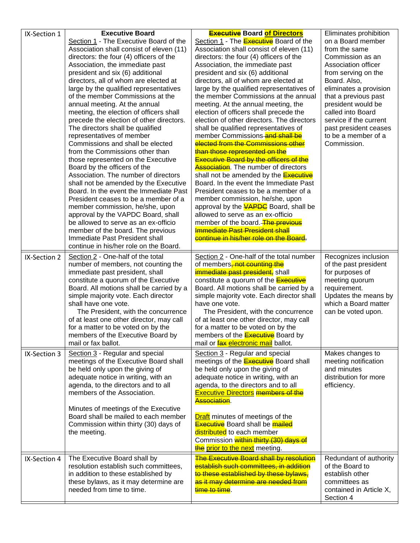| IX-Section 1 | <b>Executive Board</b>                                                          | <b>Executive Board of Directors</b>                                            | Eliminates prohibition               |
|--------------|---------------------------------------------------------------------------------|--------------------------------------------------------------------------------|--------------------------------------|
|              | Section 1 - The Executive Board of the                                          | Section 1 - The Executive Board of the                                         | on a Board member                    |
|              | Association shall consist of eleven (11)                                        | Association shall consist of eleven (11)                                       | from the same                        |
|              | directors: the four (4) officers of the                                         | directors: the four (4) officers of the                                        | Commission as an                     |
|              | Association, the immediate past                                                 | Association, the immediate past<br>president and six (6) additional            | Association officer                  |
|              | president and six (6) additional<br>directors, all of whom are elected at       | directors, all of whom are elected at                                          | from serving on the<br>Board. Also,  |
|              | large by the qualified representatives                                          | large by the qualified representatives of                                      | eliminates a provision               |
|              | of the member Commissions at the                                                | the member Commissions at the annual                                           | that a previous past                 |
|              | annual meeting. At the annual                                                   | meeting. At the annual meeting, the                                            | president would be                   |
|              | meeting, the election of officers shall                                         | election of officers shall precede the                                         | called into Board                    |
|              | precede the election of other directors.                                        | election of other directors. The directors                                     | service if the current               |
|              | The directors shall be qualified                                                | shall be qualified representatives of                                          | past president ceases                |
|              | representatives of member                                                       | member Commissions and shall be                                                | to be a member of a                  |
|              | Commissions and shall be elected                                                | elected from the Commissions other                                             | Commission.                          |
|              | from the Commissions other than                                                 | than those represented on the<br><b>Executive Board by the officers of the</b> |                                      |
|              | those represented on the Executive<br>Board by the officers of the              | <b>Association.</b> The number of directors                                    |                                      |
|              | Association. The number of directors                                            | shall not be amended by the <b>Executive</b>                                   |                                      |
|              | shall not be amended by the Executive                                           | Board. In the event the Immediate Past                                         |                                      |
|              | Board. In the event the Immediate Past                                          | President ceases to be a member of a                                           |                                      |
|              | President ceases to be a member of a                                            | member commission, he/she, upon                                                |                                      |
|              | member commission, he/she, upon                                                 | approval by the <b>VAPDC</b> Board, shall be                                   |                                      |
|              | approval by the VAPDC Board, shall                                              | allowed to serve as an ex-officio                                              |                                      |
|              | be allowed to serve as an ex-officio<br>member of the board. The previous       | member of the board. The previous<br><b>Immediate Past President shall</b>     |                                      |
|              | Immediate Past President shall                                                  | continue in his/her role on the Board.                                         |                                      |
|              | continue in his/her role on the Board.                                          |                                                                                |                                      |
| IX-Section 2 | Section 2 - One-half of the total                                               | Section 2 - One-half of the total number                                       | Recognizes inclusion                 |
|              | number of members, not counting the                                             | of members <del>, not counting the</del>                                       | of the past president                |
|              | immediate past president, shall                                                 | <i>immediate past president,</i> shall                                         | for purposes of                      |
|              | constitute a quorum of the Executive                                            | constitute a quorum of the <b>Executive</b>                                    | meeting quorum                       |
|              | Board. All motions shall be carried by a<br>simple majority vote. Each director | Board. All motions shall be carried by a                                       | requirement.<br>Updates the means by |
|              | shall have one vote.                                                            | simple majority vote. Each director shall<br>have one vote.                    | which a Board matter                 |
|              | The President, with the concurrence                                             | The President, with the concurrence                                            | can be voted upon.                   |
|              | of at least one other director, may call                                        | of at least one other director, may call                                       |                                      |
|              | for a matter to be voted on by the                                              | for a matter to be voted on by the                                             |                                      |
|              | members of the Executive Board by                                               | members of the <b>Executive</b> Board by                                       |                                      |
|              | mail or fax ballot.                                                             | mail or <b>fax electronic mail</b> ballot.                                     |                                      |
| IX-Section 3 | Section 3 - Regular and special                                                 | Section 3 - Regular and special                                                | Makes changes to                     |
|              | meetings of the Executive Board shall                                           | meetings of the <b>Executive</b> Board shall                                   | meeting notification                 |
|              | be held only upon the giving of<br>adequate notice in writing, with an          | be held only upon the giving of<br>adequate notice in writing, with an         | and minutes<br>distribution for more |
|              | agenda, to the directors and to all                                             | agenda, to the directors and to all                                            | efficiency.                          |
|              | members of the Association.                                                     | <b>Executive Directors members of the</b>                                      |                                      |
|              |                                                                                 | Association.                                                                   |                                      |
|              | Minutes of meetings of the Executive                                            |                                                                                |                                      |
|              | Board shall be mailed to each member                                            | <b>Draft</b> minutes of meetings of the                                        |                                      |
|              | Commission within thirty (30) days of                                           | <b>Executive</b> Board shall be <b>mailed</b>                                  |                                      |
|              | the meeting.                                                                    | distributed to each member                                                     |                                      |
|              |                                                                                 | Commission within thirty (30) days of<br>the prior to the next meeting.        |                                      |
| IX-Section 4 | The Executive Board shall by                                                    | The Executive Board shall by resolution                                        | Redundant of authority               |
|              | resolution establish such committees,                                           | establish such committees, in addition                                         | of the Board to                      |
|              | in addition to these established by                                             | to these established by these bylaws,                                          | establish other                      |
|              | these bylaws, as it may determine are                                           | as it may determine are needed from                                            | committees as                        |
|              | needed from time to time.                                                       | time to time.                                                                  | contained in Article X,              |
|              |                                                                                 |                                                                                | Section 4                            |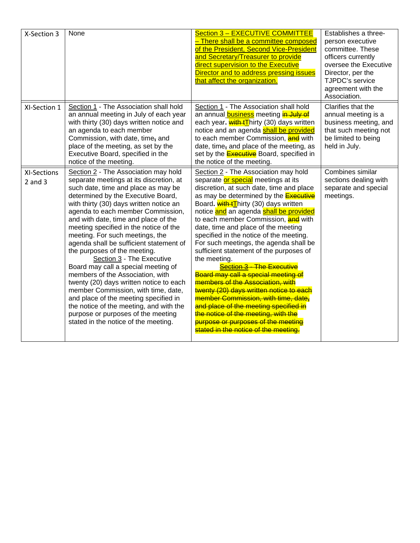| X-Section 3                       | None                                                                                                                                                                                                                                                                                                                                                                                                                                                                                                                                                                                                                                                                                                                                                                                                     | Section 3 - EXECUTIVE COMMITTEE<br>- There shall be a committee composed<br>of the President, Second Vice-President<br>and Secretary/Treasurer to provide<br>direct supervision to the Executive<br>Director and to address pressing issues<br>that affect the organization.                                                                                                                                                                                                                                                                                                                                                                                                                                                                                                                                                                                 | Establishes a three-<br>person executive<br>committee. These<br>officers currently<br>oversee the Executive<br>Director, per the<br><b>TJPDC's service</b><br>agreement with the<br>Association. |
|-----------------------------------|----------------------------------------------------------------------------------------------------------------------------------------------------------------------------------------------------------------------------------------------------------------------------------------------------------------------------------------------------------------------------------------------------------------------------------------------------------------------------------------------------------------------------------------------------------------------------------------------------------------------------------------------------------------------------------------------------------------------------------------------------------------------------------------------------------|--------------------------------------------------------------------------------------------------------------------------------------------------------------------------------------------------------------------------------------------------------------------------------------------------------------------------------------------------------------------------------------------------------------------------------------------------------------------------------------------------------------------------------------------------------------------------------------------------------------------------------------------------------------------------------------------------------------------------------------------------------------------------------------------------------------------------------------------------------------|--------------------------------------------------------------------------------------------------------------------------------------------------------------------------------------------------|
| XI-Section 1                      | Section 1 - The Association shall hold<br>an annual meeting in July of each year<br>with thirty (30) days written notice and<br>an agenda to each member<br>Commission, with date, time, and<br>place of the meeting, as set by the<br>Executive Board, specified in the<br>notice of the meeting.                                                                                                                                                                                                                                                                                                                                                                                                                                                                                                       | Section 1 - The Association shall hold<br>an annual <b>business</b> meeting in July of<br>each year. with tThirty (30) days written<br>notice and an agenda <b>shall be provided</b><br>to each member Commission, and with<br>date, time, and place of the meeting, as<br>set by the <b>Executive</b> Board, specified in<br>the notice of the meeting.                                                                                                                                                                                                                                                                                                                                                                                                                                                                                                     | Clarifies that the<br>annual meeting is a<br>business meeting, and<br>that such meeting not<br>be limited to being<br>held in July.                                                              |
| <b>XI-Sections</b><br>$2$ and $3$ | Section 2 - The Association may hold<br>separate meetings at its discretion, at<br>such date, time and place as may be<br>determined by the Executive Board,<br>with thirty (30) days written notice an<br>agenda to each member Commission,<br>and with date, time and place of the<br>meeting specified in the notice of the<br>meeting. For such meetings, the<br>agenda shall be sufficient statement of<br>the purposes of the meeting.<br>Section 3 - The Executive<br>Board may call a special meeting of<br>members of the Association, with<br>twenty (20) days written notice to each<br>member Commission, with time, date,<br>and place of the meeting specified in<br>the notice of the meeting, and with the<br>purpose or purposes of the meeting<br>stated in the notice of the meeting. | Section 2 - The Association may hold<br>separate or special meetings at its<br>discretion, at such date, time and place<br>as may be determined by the <b>Executive</b><br>Board. with <sup>1</sup> Thirty (30) days written<br>notice and an agenda shall be provided<br>to each member Commission, and with<br>date, time and place of the meeting<br>specified in the notice of the meeting.<br>For such meetings, the agenda shall be<br>sufficient statement of the purposes of<br>the meeting.<br>Section 3 - The Executive<br>Board may call a special meeting of<br>members of the Association, with<br>twenty (20) days written notice to each<br>member Commission, with time, date,<br>and place of the meeting specified in<br>the notice of the meeting, with the<br>purpose or purposes of the meeting<br>stated in the notice of the meeting. | Combines similar<br>sections dealing with<br>separate and special<br>meetings.                                                                                                                   |